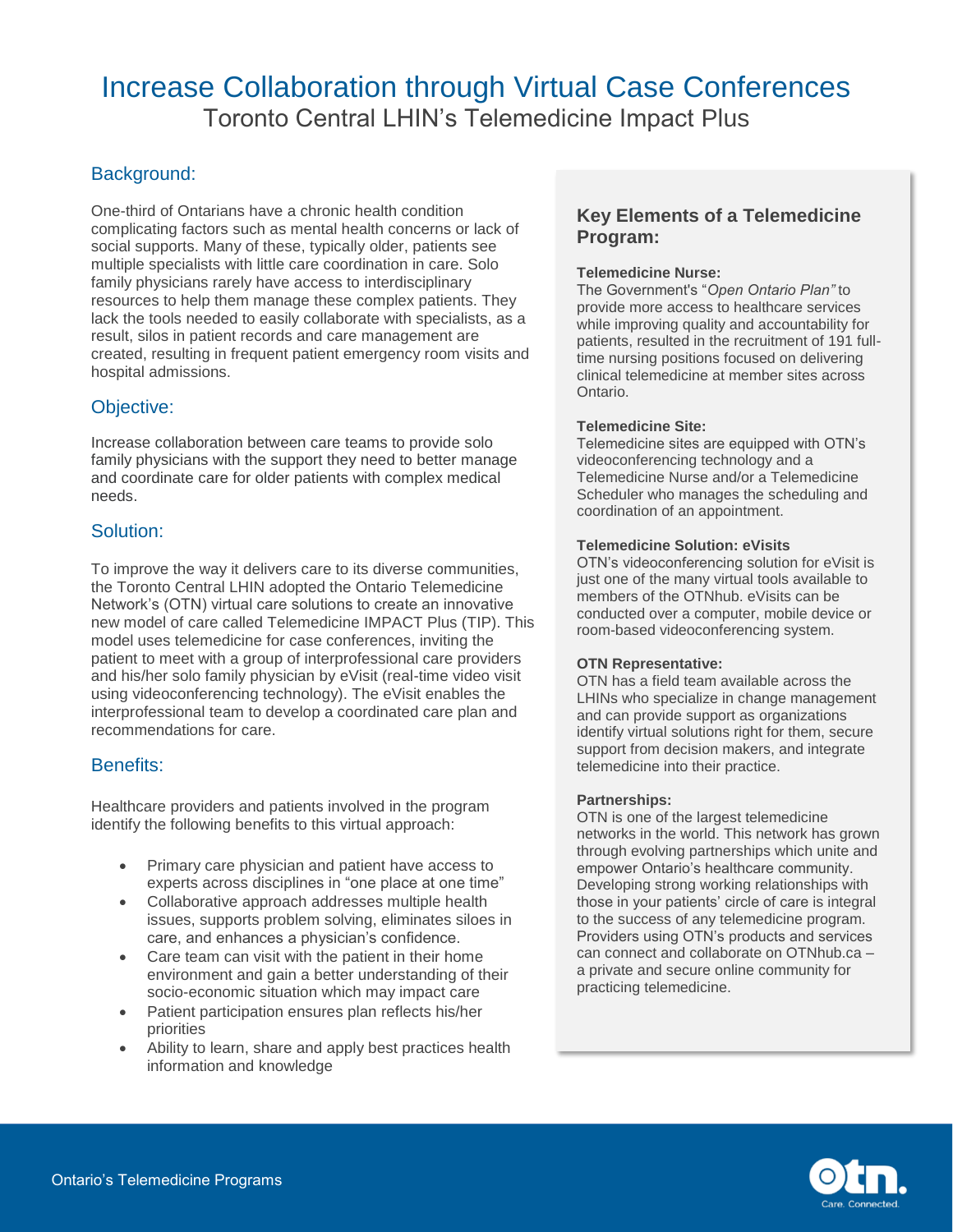# Background:

One-third of Ontarians have a chronic health condition complicating factors such as mental health concerns or lack of social supports. Many of these, typically older, patients see multiple specialists with little care coordination in care. Solo family physicians rarely have access to interdisciplinary resources to help them manage these complex patients. They lack the tools needed to easily collaborate with specialists, as a result, silos in patient records and care management are created, resulting in frequent patient emergency room visits and hospital admissions.

## Objective:

Increase collaboration between care teams to provide solo family physicians with the support they need to better manage and coordinate care for older patients with complex medical needs.

## Solution:

To improve the way it delivers care to its diverse communities, the Toronto Central LHIN adopted the Ontario Telemedicine Network's (OTN) virtual care solutions to create an innovative new model of care called Telemedicine IMPACT Plus (TIP). This model uses telemedicine for case conferences, inviting the patient to meet with a group of interprofessional care providers and his/her solo family physician by eVisit (real-time video visit using videoconferencing technology). The eVisit enables the interprofessional team to develop a coordinated care plan and recommendations for care.

## Benefits:

Healthcare providers and patients involved in the program identify the following benefits to this virtual approach:

- Primary care physician and patient have access to experts across disciplines in "one place at one time"
- Collaborative approach addresses multiple health issues, supports problem solving, eliminates siloes in care, and enhances a physician's confidence.
- Care team can visit with the patient in their home environment and gain a better understanding of their socio-economic situation which may impact care
- Patient participation ensures plan reflects his/her priorities
- Ability to learn, share and apply best practices health information and knowledge

## **Key Elements of a Telemedicine Program:**

### **Telemedicine Nurse:**

The Government's "*Open Ontario Plan"* to provide more access to healthcare services while improving quality and accountability for patients, resulted in the recruitment of 191 fulltime nursing positions focused on delivering clinical telemedicine at member sites across Ontario.

### **Telemedicine Site:**

Telemedicine sites are equipped with OTN's videoconferencing technology and a Telemedicine Nurse and/or a Telemedicine Scheduler who manages the scheduling and coordination of an appointment.

#### **Telemedicine Solution: eVisits**

OTN's videoconferencing solution for eVisit is just one of the many virtual tools available to members of the OTNhub. eVisits can be conducted over a computer, mobile device or room-based videoconferencing system.

#### **OTN Representative:**

OTN has a field team available across the LHINs who specialize in change management and can provide support as organizations identify virtual solutions right for them, secure support from decision makers, and integrate telemedicine into their practice.

#### **Partnerships:**

OTN is one of the largest telemedicine networks in the world. This network has grown through evolving partnerships which unite and empower Ontario's healthcare community. Developing strong working relationships with those in your patients' circle of care is integral to the success of any telemedicine program. Providers using OTN's products and services can connect and collaborate on OTNhub.ca – a private and secure online community for practicing telemedicine.

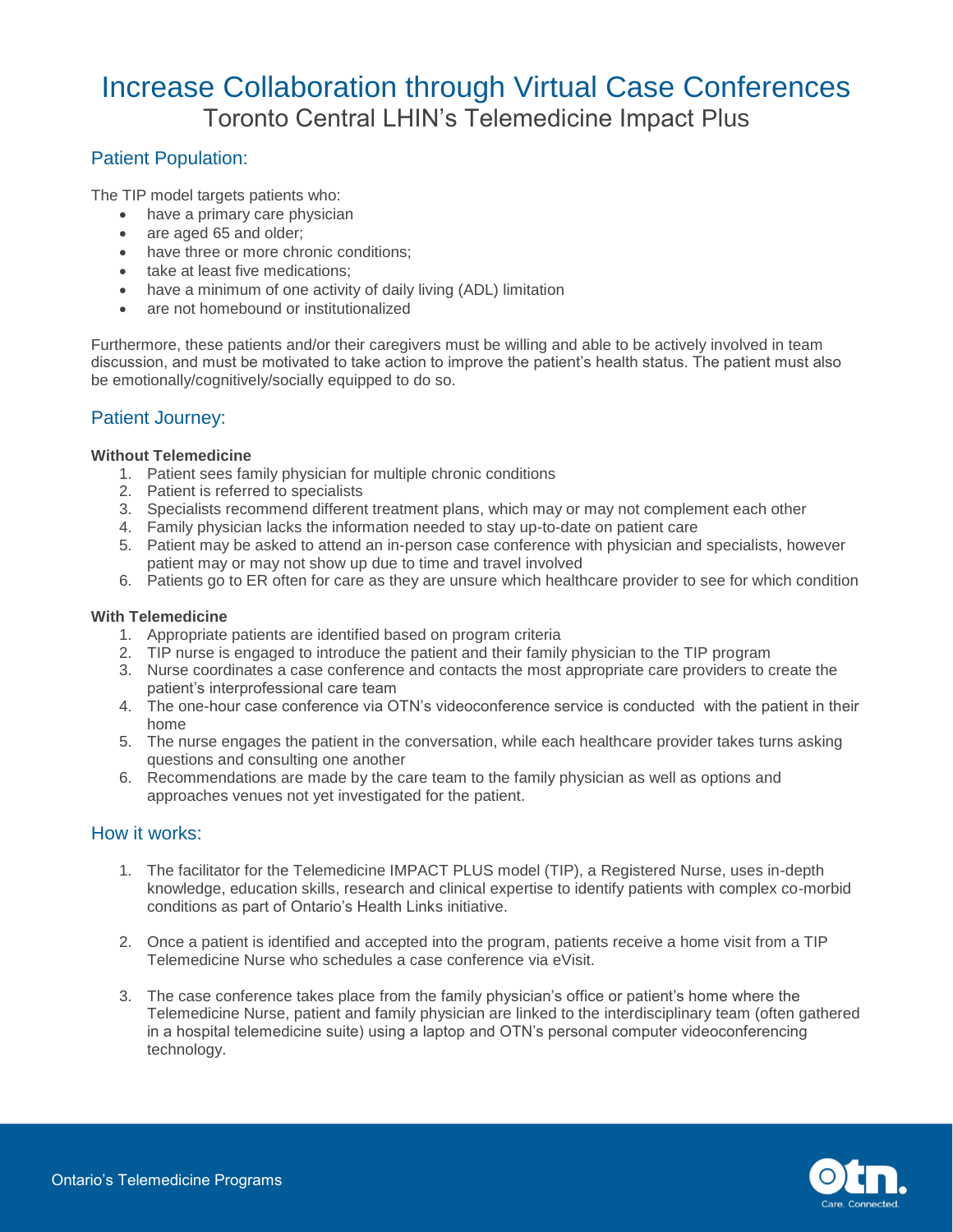## Patient Population:

The TIP model targets patients who:

- have a primary care physician
- are aged 65 and older;
- have three or more chronic conditions:
- take at least five medications;
- have a minimum of one activity of daily living (ADL) limitation
- are not homebound or institutionalized

Furthermore, these patients and/or their caregivers must be willing and able to be actively involved in team discussion, and must be motivated to take action to improve the patient's health status. The patient must also be emotionally/cognitively/socially equipped to do so.

## Patient Journey:

#### **Without Telemedicine**

- 1. Patient sees family physician for multiple chronic conditions
- 2. Patient is referred to specialists
- 3. Specialists recommend different treatment plans, which may or may not complement each other
- 4. Family physician lacks the information needed to stay up-to-date on patient care
- 5. Patient may be asked to attend an in-person case conference with physician and specialists, however patient may or may not show up due to time and travel involved
- 6. Patients go to ER often for care as they are unsure which healthcare provider to see for which condition

### **With Telemedicine**

- 1. Appropriate patients are identified based on program criteria
- 2. TIP nurse is engaged to introduce the patient and their family physician to the TIP program
- 3. Nurse coordinates a case conference and contacts the most appropriate care providers to create the patient's interprofessional care team
- 4. The one-hour case conference via OTN's videoconference service is conducted with the patient in their home
- 5. The nurse engages the patient in the conversation, while each healthcare provider takes turns asking questions and consulting one another
- 6. Recommendations are made by the care team to the family physician as well as options and approaches venues not yet investigated for the patient.

## How it works:

- 1. The facilitator for the Telemedicine IMPACT PLUS model (TIP), a Registered Nurse, uses in-depth knowledge, education skills, research and clinical expertise to identify patients with complex co-morbid conditions as part of Ontario's Health Links initiative.
- 2. Once a patient is identified and accepted into the program, patients receive a home visit from a TIP Telemedicine Nurse who schedules a case conference via eVisit.
- 3. The case conference takes place from the family physician's office or patient's home where the Telemedicine Nurse, patient and family physician are linked to the interdisciplinary team (often gathered in a hospital telemedicine suite) using a laptop and OTN's personal computer videoconferencing technology.

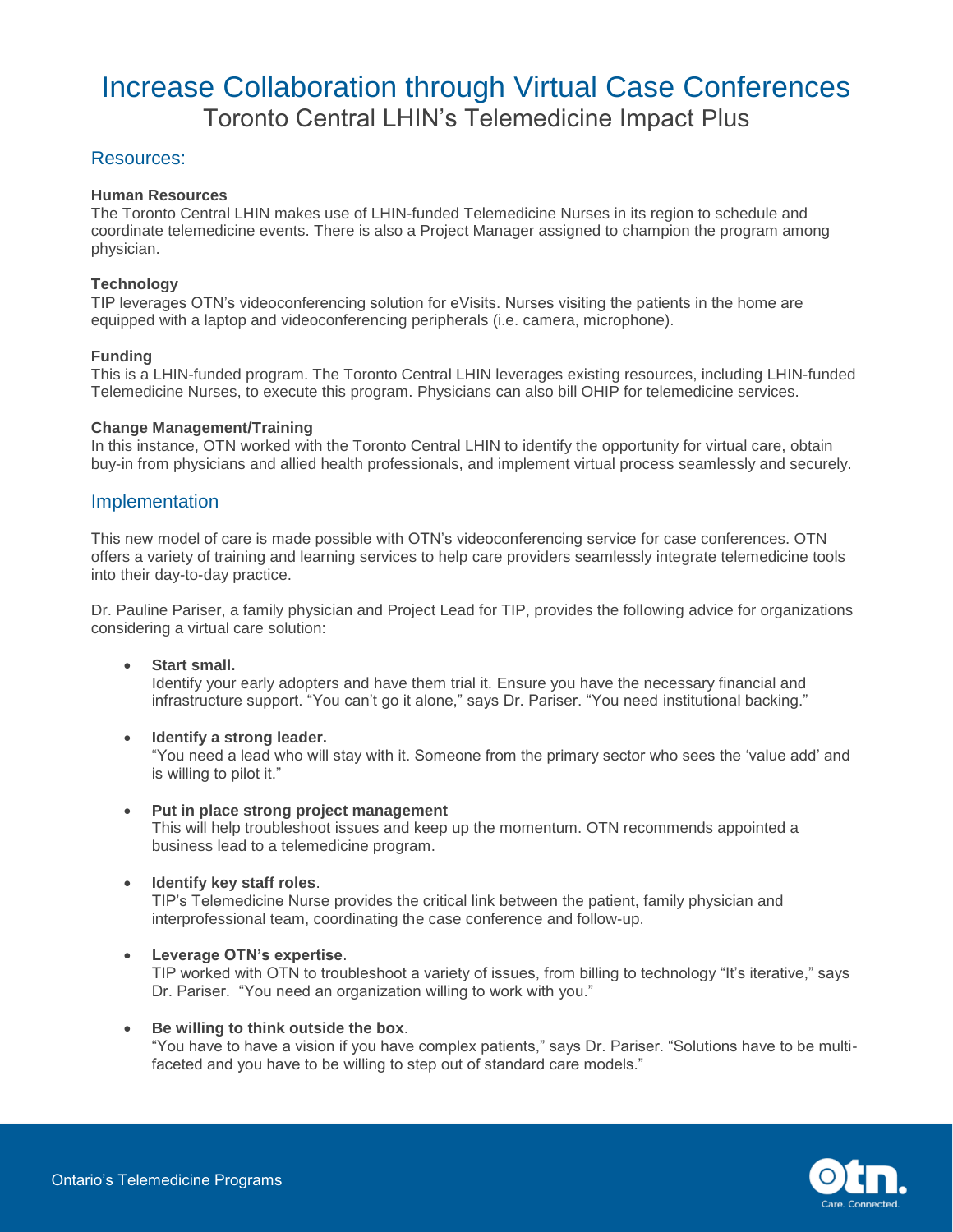## Resources:

#### **Human Resources**

The Toronto Central LHIN makes use of LHIN-funded Telemedicine Nurses in its region to schedule and coordinate telemedicine events. There is also a Project Manager assigned to champion the program among physician.

### **Technology**

TIP leverages OTN's videoconferencing solution for eVisits. Nurses visiting the patients in the home are equipped with a laptop and videoconferencing peripherals (i.e. camera, microphone).

### **Funding**

This is a LHIN-funded program. The Toronto Central LHIN leverages existing resources, including LHIN-funded Telemedicine Nurses, to execute this program. Physicians can also bill OHIP for telemedicine services.

#### **Change Management/Training**

In this instance, OTN worked with the Toronto Central LHIN to identify the opportunity for virtual care, obtain buy-in from physicians and allied health professionals, and implement virtual process seamlessly and securely.

## Implementation

This new model of care is made possible with OTN's videoconferencing service for case conferences. OTN offers a variety of training and learning services to help care providers seamlessly integrate telemedicine tools into their day-to-day practice.

Dr. Pauline Pariser, a family physician and Project Lead for TIP, provides the following advice for organizations considering a virtual care solution:

**Start small.**

Identify your early adopters and have them trial it. Ensure you have the necessary financial and infrastructure support. "You can't go it alone," says Dr. Pariser. "You need institutional backing."

**Identify a strong leader.**

"You need a lead who will stay with it. Someone from the primary sector who sees the 'value add' and is willing to pilot it."

- **Put in place strong project management** This will help troubleshoot issues and keep up the momentum. OTN recommends appointed a business lead to a telemedicine program.
- **Identify key staff roles**.

TIP's Telemedicine Nurse provides the critical link between the patient, family physician and interprofessional team, coordinating the case conference and follow-up.

**Leverage OTN's expertise**.

TIP worked with OTN to troubleshoot a variety of issues, from billing to technology "It's iterative," says Dr. Pariser. "You need an organization willing to work with you."

**Be willing to think outside the box**.

"You have to have a vision if you have complex patients," says Dr. Pariser. "Solutions have to be multifaceted and you have to be willing to step out of standard care models."